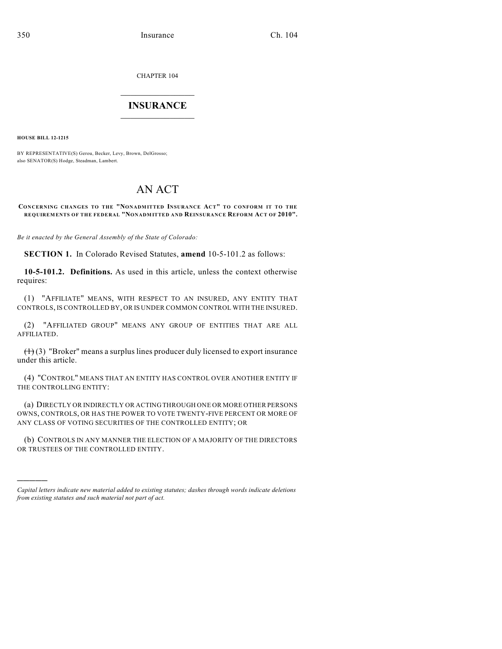CHAPTER 104

## $\mathcal{L}_\text{max}$  . The set of the set of the set of the set of the set of the set of the set of the set of the set of the set of the set of the set of the set of the set of the set of the set of the set of the set of the set **INSURANCE**  $\frac{1}{2}$  ,  $\frac{1}{2}$  ,  $\frac{1}{2}$  ,  $\frac{1}{2}$  ,  $\frac{1}{2}$  ,  $\frac{1}{2}$  ,  $\frac{1}{2}$

**HOUSE BILL 12-1215**

)))))

BY REPRESENTATIVE(S) Gerou, Becker, Levy, Brown, DelGrosso; also SENATOR(S) Hodge, Steadman, Lambert.

# AN ACT

#### **CONCERNING CHANGES TO THE "NONADMITTED INSURANCE ACT" TO CONFORM IT TO THE REQUIREMENTS OF THE FEDERAL "NONADMITTED AND REINSURANCE REFORM ACT OF 2010".**

*Be it enacted by the General Assembly of the State of Colorado:*

**SECTION 1.** In Colorado Revised Statutes, **amend** 10-5-101.2 as follows:

**10-5-101.2. Definitions.** As used in this article, unless the context otherwise requires:

(1) "AFFILIATE" MEANS, WITH RESPECT TO AN INSURED, ANY ENTITY THAT CONTROLS, IS CONTROLLED BY, OR IS UNDER COMMON CONTROL WITH THE INSURED.

(2) "AFFILIATED GROUP" MEANS ANY GROUP OF ENTITIES THAT ARE ALL AFFILIATED.

 $(1)(3)$  "Broker" means a surplus lines producer duly licensed to export insurance under this article.

(4) "CONTROL" MEANS THAT AN ENTITY HAS CONTROL OVER ANOTHER ENTITY IF THE CONTROLLING ENTITY:

(a) DIRECTLY OR INDIRECTLY OR ACTING THROUGH ONE OR MORE OTHER PERSONS OWNS, CONTROLS, OR HAS THE POWER TO VOTE TWENTY-FIVE PERCENT OR MORE OF ANY CLASS OF VOTING SECURITIES OF THE CONTROLLED ENTITY; OR

(b) CONTROLS IN ANY MANNER THE ELECTION OF A MAJORITY OF THE DIRECTORS OR TRUSTEES OF THE CONTROLLED ENTITY.

*Capital letters indicate new material added to existing statutes; dashes through words indicate deletions from existing statutes and such material not part of act.*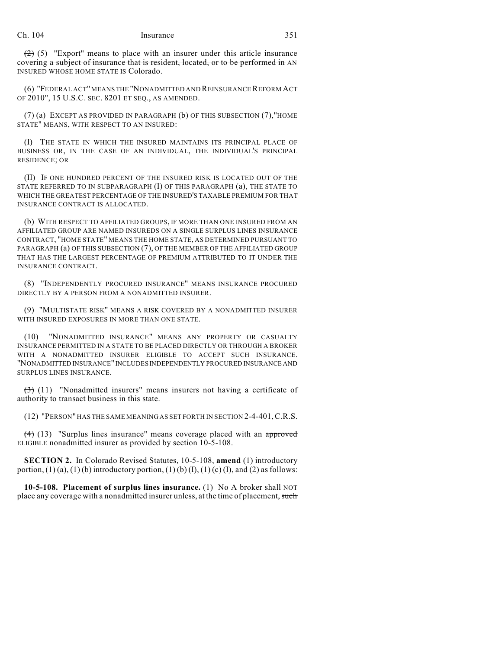$(2)$  (5) "Export" means to place with an insurer under this article insurance covering a subject of insurance that is resident, located, or to be performed in AN INSURED WHOSE HOME STATE IS Colorado.

(6) "FEDERAL ACT" MEANS THE "NONADMITTED AND REINSURANCEREFORM ACT OF 2010", 15 U.S.C. SEC. 8201 ET SEQ., AS AMENDED.

(7) (a) EXCEPT AS PROVIDED IN PARAGRAPH (b) OF THIS SUBSECTION (7),"HOME STATE" MEANS, WITH RESPECT TO AN INSURED:

(I) THE STATE IN WHICH THE INSURED MAINTAINS ITS PRINCIPAL PLACE OF BUSINESS OR, IN THE CASE OF AN INDIVIDUAL, THE INDIVIDUAL'S PRINCIPAL RESIDENCE; OR

(II) IF ONE HUNDRED PERCENT OF THE INSURED RISK IS LOCATED OUT OF THE STATE REFERRED TO IN SUBPARAGRAPH (I) OF THIS PARAGRAPH (a), THE STATE TO WHICH THE GREATEST PERCENTAGE OF THE INSURED'S TAXABLE PREMIUM FOR THAT INSURANCE CONTRACT IS ALLOCATED.

(b) WITH RESPECT TO AFFILIATED GROUPS, IF MORE THAN ONE INSURED FROM AN AFFILIATED GROUP ARE NAMED INSUREDS ON A SINGLE SURPLUS LINES INSURANCE CONTRACT, "HOME STATE" MEANS THE HOME STATE, AS DETERMINED PURSUANT TO PARAGRAPH (a) OF THIS SUBSECTION (7), OF THE MEMBER OF THE AFFILIATED GROUP THAT HAS THE LARGEST PERCENTAGE OF PREMIUM ATTRIBUTED TO IT UNDER THE INSURANCE CONTRACT.

(8) "INDEPENDENTLY PROCURED INSURANCE" MEANS INSURANCE PROCURED DIRECTLY BY A PERSON FROM A NONADMITTED INSURER.

(9) "MULTISTATE RISK" MEANS A RISK COVERED BY A NONADMITTED INSURER WITH INSURED EXPOSURES IN MORE THAN ONE STATE.

(10) "NONADMITTED INSURANCE" MEANS ANY PROPERTY OR CASUALTY INSURANCE PERMITTED IN A STATE TO BE PLACED DIRECTLY OR THROUGH A BROKER WITH A NONADMITTED INSURER ELIGIBLE TO ACCEPT SUCH INSURANCE. "NONADMITTED INSURANCE" INCLUDES INDEPENDENTLY PROCURED INSURANCE AND SURPLUS LINES INSURANCE.

 $(3)$  (11) "Nonadmitted insurers" means insurers not having a certificate of authority to transact business in this state.

(12) "PERSON" HAS THE SAME MEANING AS SET FORTH IN SECTION 2-4-401,C.R.S.

 $(4)$  (13) "Surplus lines insurance" means coverage placed with an approved ELIGIBLE nonadmitted insurer as provided by section 10-5-108.

**SECTION 2.** In Colorado Revised Statutes, 10-5-108, **amend** (1) introductory portion,  $(1)$  (a),  $(1)$  (b) introductory portion,  $(1)$  (b)  $(I)$ ,  $(1)$  (c)  $(I)$ , and  $(2)$  as follows:

**10-5-108. Placement of surplus lines insurance.** (1) No A broker shall NOT place any coverage with a nonadmitted insurer unless, at the time of placement, such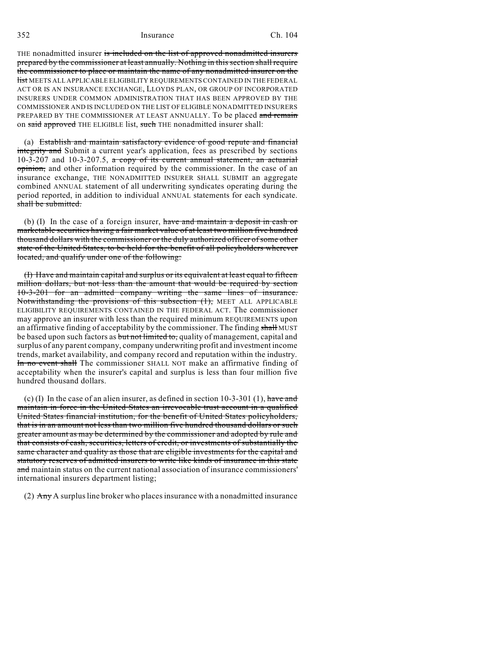### 352 Insurance Ch. 104

THE nonadmitted insurer is included on the list of approved nonadmitted insurers prepared by the commissioner at least annually. Nothing in this section shall require the commissioner to place or maintain the name of any nonadmitted insurer on the list MEETS ALL APPLICABLE ELIGIBILITY REQUIREMENTS CONTAINED IN THE FEDERAL ACT OR IS AN INSURANCE EXCHANGE, LLOYDS PLAN, OR GROUP OF INCORPORATED INSURERS UNDER COMMON ADMINISTRATION THAT HAS BEEN APPROVED BY THE COMMISSIONER AND IS INCLUDED ON THE LIST OF ELIGIBLE NONADMITTED INSURERS PREPARED BY THE COMMISSIONER AT LEAST ANNUALLY. To be placed and remain on said approved THE ELIGIBLE list, such THE nonadmitted insurer shall:

(a) Establish and maintain satisfactory evidence of good repute and financial integrity and Submit a current year's application, fees as prescribed by sections 10-3-207 and 10-3-207.5,  $\alpha$  copy of its current annual statement, an actuarial opinion, and other information required by the commissioner. In the case of an insurance exchange, THE NONADMITTED INSURER SHALL SUBMIT an aggregate combined ANNUAL statement of all underwriting syndicates operating during the period reported, in addition to individual ANNUAL statements for each syndicate. shall be submitted.

(b) (I) In the case of a foreign insurer, have and maintain a deposit in cash or marketable securities having a fair market value of at least two million five hundred thousand dollars with the commissioner or the duly authorized officer of some other state of the United States, to be held for the benefit of all policyholders wherever located, and qualify under one of the following:

(I) Have and maintain capital and surplus or its equivalent at least equal to fifteen million dollars, but not less than the amount that would be required by section 10-3-201 for an admitted company writing the same lines of insurance. Notwithstanding the provisions of this subsection (1), MEET ALL APPLICABLE ELIGIBILITY REQUIREMENTS CONTAINED IN THE FEDERAL ACT. The commissioner may approve an insurer with less than the required minimum REQUIREMENTS upon an affirmative finding of acceptability by the commissioner. The finding shall MUST be based upon such factors as but not limited to, quality of management, capital and surplus of any parent company, company underwriting profit and investment income trends, market availability, and company record and reputation within the industry. In no event shall The commissioner SHALL NOT make an affirmative finding of acceptability when the insurer's capital and surplus is less than four million five hundred thousand dollars.

(c) (I) In the case of an alien insurer, as defined in section 10-3-301 (1), have and maintain in force in the United States an irrevocable trust account in a qualified United States financial institution, for the benefit of United States policyholders, that is in an amount not less than two million five hundred thousand dollars or such greater amount as may be determined by the commissioner and adopted by rule and that consists of cash, securities, letters of credit, or investments of substantially the same character and quality as those that are eligible investments for the capital and statutory reserves of admitted insurers to write like kinds of insurance in this state and maintain status on the current national association of insurance commissioners' international insurers department listing;

(2)  $\text{Any } A$  surplus line broker who places insurance with a nonadmitted insurance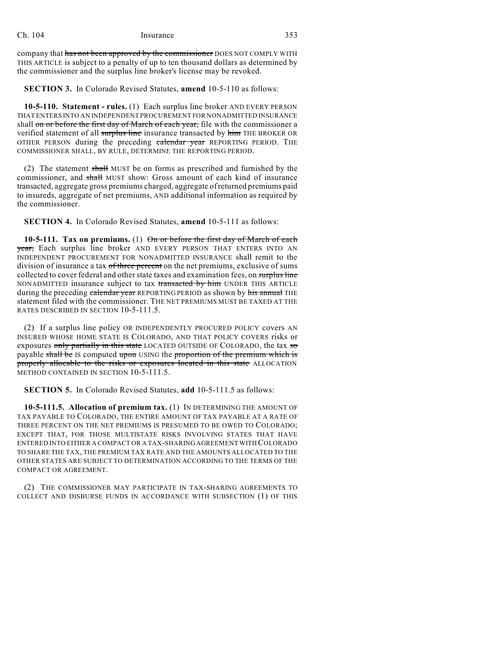company that has not been approved by the commissioner DOES NOT COMPLY WITH THIS ARTICLE is subject to a penalty of up to ten thousand dollars as determined by the commissioner and the surplus line broker's license may be revoked.

**SECTION 3.** In Colorado Revised Statutes, **amend** 10-5-110 as follows:

**10-5-110. Statement - rules.** (1) Each surplus line broker AND EVERY PERSON THAT ENTERS INTO AN INDEPENDENT PROCUREMENT FOR NONADMITTED INSURANCE shall on or before the first day of March of each year, file with the commissioner a verified statement of all surplus line insurance transacted by him THE BROKER OR OTHER PERSON during the preceding calendar year REPORTING PERIOD. THE COMMISSIONER SHALL, BY RULE, DETERMINE THE REPORTING PERIOD.

(2) The statement shall MUST be on forms as prescribed and furnished by the commissioner, and shall MUST show: Gross amount of each kind of insurance transacted, aggregate gross premiums charged, aggregate of returned premiums paid to insureds, aggregate of net premiums, AND additional information as required by the commissioner.

**SECTION 4.** In Colorado Revised Statutes, **amend** 10-5-111 as follows:

**10-5-111. Tax on premiums.** (1) On or before the first day of March of each year, Each surplus line broker AND EVERY PERSON THAT ENTERS INTO AN INDEPENDENT PROCUREMENT FOR NONADMITTED INSURANCE shall remit to the division of insurance a tax of three percent on the net premiums, exclusive of sums collected to cover federal and other state taxes and examination fees, on surplus line NONADMITTED insurance subject to tax transacted by him UNDER THIS ARTICLE during the preceding calendar year REPORTING PERIOD as shown by his annual THE statement filed with the commissioner. THE NET PREMIUMS MUST BE TAXED AT THE RATES DESCRIBED IN SECTION 10-5-111.5.

(2) If a surplus line policy OR INDEPENDENTLY PROCURED POLICY covers AN INSURED WHOSE HOME STATE IS COLORADO, AND THAT POLICY COVERS risks or exposures only partially in this state LOCATED OUTSIDE OF COLORADO, the tax so payable shall be IS computed upon USING the proportion of the premium which is properly allocable to the risks or exposures located in this state ALLOCATION METHOD CONTAINED IN SECTION 10-5-111.5.

**SECTION 5.** In Colorado Revised Statutes, **add** 10-5-111.5 as follows:

**10-5-111.5. Allocation of premium tax.** (1) IN DETERMINING THE AMOUNT OF TAX PAYABLE TO COLORADO, THE ENTIRE AMOUNT OF TAX PAYABLE AT A RATE OF THREE PERCENT ON THE NET PREMIUMS IS PRESUMED TO BE OWED TO COLORADO; EXCEPT THAT, FOR THOSE MULTISTATE RISKS INVOLVING STATES THAT HAVE ENTERED INTO EITHER A COMPACT OR A TAX-SHARING AGREEMENT WITH COLORADO TO SHARE THE TAX, THE PREMIUM TAX RATE AND THE AMOUNTS ALLOCATED TO THE OTHER STATES ARE SUBJECT TO DETERMINATION ACCORDING TO THE TERMS OF THE COMPACT OR AGREEMENT.

(2) THE COMMISSIONER MAY PARTICIPATE IN TAX-SHARING AGREEMENTS TO COLLECT AND DISBURSE FUNDS IN ACCORDANCE WITH SUBSECTION (1) OF THIS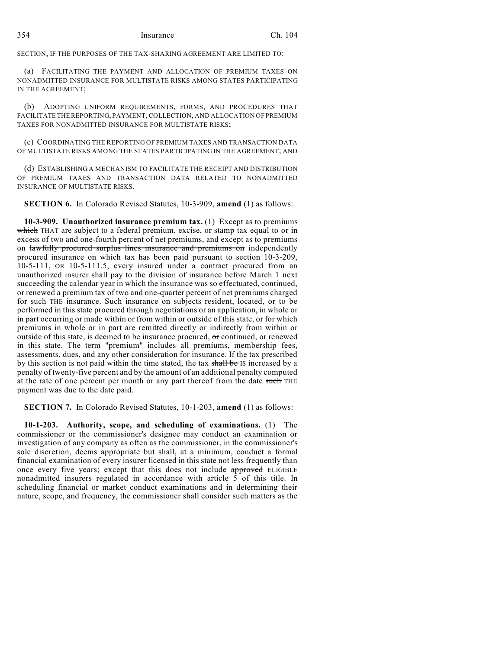SECTION, IF THE PURPOSES OF THE TAX-SHARING AGREEMENT ARE LIMITED TO:

(a) FACILITATING THE PAYMENT AND ALLOCATION OF PREMIUM TAXES ON NONADMITTED INSURANCE FOR MULTISTATE RISKS AMONG STATES PARTICIPATING IN THE AGREEMENT;

(b) ADOPTING UNIFORM REQUIREMENTS, FORMS, AND PROCEDURES THAT FACILITATE THE REPORTING, PAYMENT, COLLECTION, AND ALLOCATION OF PREMIUM TAXES FOR NONADMITTED INSURANCE FOR MULTISTATE RISKS;

(c) COORDINATING THE REPORTING OF PREMIUM TAXES AND TRANSACTION DATA OF MULTISTATE RISKS AMONG THE STATES PARTICIPATING IN THE AGREEMENT; AND

(d) ESTABLISHING A MECHANISM TO FACILITATE THE RECEIPT AND DISTRIBUTION OF PREMIUM TAXES AND TRANSACTION DATA RELATED TO NONADMITTED INSURANCE OF MULTISTATE RISKS.

**SECTION 6.** In Colorado Revised Statutes, 10-3-909, **amend** (1) as follows:

**10-3-909. Unauthorized insurance premium tax.** (1) Except as to premiums which THAT are subject to a federal premium, excise, or stamp tax equal to or in excess of two and one-fourth percent of net premiums, and except as to premiums on lawfully procured surplus lines insurance and premiums on independently procured insurance on which tax has been paid pursuant to section 10-3-209, 10-5-111, OR 10-5-111.5, every insured under a contract procured from an unauthorized insurer shall pay to the division of insurance before March 1 next succeeding the calendar year in which the insurance was so effectuated, continued, or renewed a premium tax of two and one-quarter percent of net premiums charged for such THE insurance. Such insurance on subjects resident, located, or to be performed in this state procured through negotiations or an application, in whole or in part occurring or made within or from within or outside of this state, or for which premiums in whole or in part are remitted directly or indirectly from within or outside of this state, is deemed to be insurance procured, or continued, or renewed in this state. The term "premium" includes all premiums, membership fees, assessments, dues, and any other consideration for insurance. If the tax prescribed by this section is not paid within the time stated, the tax shall be IS increased by a penalty of twenty-five percent and by the amount of an additional penalty computed at the rate of one percent per month or any part thereof from the date such THE payment was due to the date paid.

**SECTION 7.** In Colorado Revised Statutes, 10-1-203, **amend** (1) as follows:

**10-1-203. Authority, scope, and scheduling of examinations.** (1) The commissioner or the commissioner's designee may conduct an examination or investigation of any company as often as the commissioner, in the commissioner's sole discretion, deems appropriate but shall, at a minimum, conduct a formal financial examination of every insurer licensed in this state not less frequently than once every five years; except that this does not include approved ELIGIBLE nonadmitted insurers regulated in accordance with article 5 of this title. In scheduling financial or market conduct examinations and in determining their nature, scope, and frequency, the commissioner shall consider such matters as the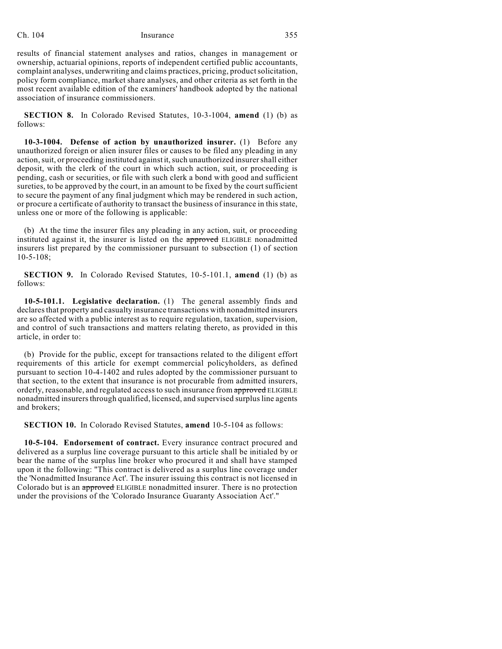### Ch. 104 Insurance 355

results of financial statement analyses and ratios, changes in management or ownership, actuarial opinions, reports of independent certified public accountants, complaint analyses, underwriting and claims practices, pricing, productsolicitation, policy form compliance, market share analyses, and other criteria as set forth in the most recent available edition of the examiners' handbook adopted by the national association of insurance commissioners.

**SECTION 8.** In Colorado Revised Statutes, 10-3-1004, **amend** (1) (b) as follows:

**10-3-1004. Defense of action by unauthorized insurer.** (1) Before any unauthorized foreign or alien insurer files or causes to be filed any pleading in any action, suit, or proceeding instituted against it, such unauthorized insurer shall either deposit, with the clerk of the court in which such action, suit, or proceeding is pending, cash or securities, or file with such clerk a bond with good and sufficient sureties, to be approved by the court, in an amount to be fixed by the court sufficient to secure the payment of any final judgment which may be rendered in such action, or procure a certificate of authority to transact the business of insurance in this state, unless one or more of the following is applicable:

(b) At the time the insurer files any pleading in any action, suit, or proceeding instituted against it, the insurer is listed on the approved ELIGIBLE nonadmitted insurers list prepared by the commissioner pursuant to subsection (1) of section 10-5-108;

**SECTION 9.** In Colorado Revised Statutes, 10-5-101.1, **amend** (1) (b) as follows:

**10-5-101.1. Legislative declaration.** (1) The general assembly finds and declaresthat property and casualty insurance transactions with nonadmitted insurers are so affected with a public interest as to require regulation, taxation, supervision, and control of such transactions and matters relating thereto, as provided in this article, in order to:

(b) Provide for the public, except for transactions related to the diligent effort requirements of this article for exempt commercial policyholders, as defined pursuant to section 10-4-1402 and rules adopted by the commissioner pursuant to that section, to the extent that insurance is not procurable from admitted insurers, orderly, reasonable, and regulated access to such insurance from approved ELIGIBLE nonadmitted insurers through qualified, licensed, and supervised surplus line agents and brokers;

**SECTION 10.** In Colorado Revised Statutes, **amend** 10-5-104 as follows:

**10-5-104. Endorsement of contract.** Every insurance contract procured and delivered as a surplus line coverage pursuant to this article shall be initialed by or bear the name of the surplus line broker who procured it and shall have stamped upon it the following: "This contract is delivered as a surplus line coverage under the 'Nonadmitted Insurance Act'. The insurer issuing this contract is not licensed in Colorado but is an approved ELIGIBLE nonadmitted insurer. There is no protection under the provisions of the 'Colorado Insurance Guaranty Association Act'."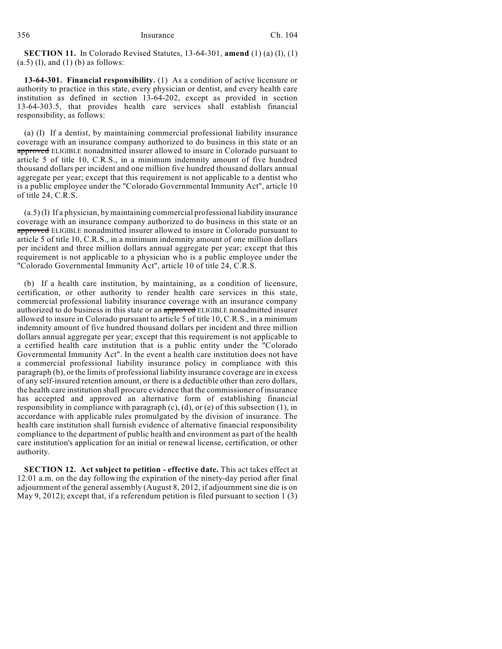**SECTION 11.** In Colorado Revised Statutes, 13-64-301, **amend** (1) (a) (I), (1)  $(a.5)$  (I), and (1) (b) as follows:

**13-64-301. Financial responsibility.** (1) As a condition of active licensure or authority to practice in this state, every physician or dentist, and every health care institution as defined in section 13-64-202, except as provided in section 13-64-303.5, that provides health care services shall establish financial responsibility, as follows:

(a) (I) If a dentist, by maintaining commercial professional liability insurance coverage with an insurance company authorized to do business in this state or an approved ELIGIBLE nonadmitted insurer allowed to insure in Colorado pursuant to article 5 of title 10, C.R.S., in a minimum indemnity amount of five hundred thousand dollars per incident and one million five hundred thousand dollars annual aggregate per year; except that this requirement is not applicable to a dentist who is a public employee under the "Colorado Governmental Immunity Act", article 10 of title 24, C.R.S.

(a.5) (I) If a physician, by maintaining commercial professional liability insurance coverage with an insurance company authorized to do business in this state or an approved ELIGIBLE nonadmitted insurer allowed to insure in Colorado pursuant to article 5 of title 10, C.R.S., in a minimum indemnity amount of one million dollars per incident and three million dollars annual aggregate per year; except that this requirement is not applicable to a physician who is a public employee under the "Colorado Governmental Immunity Act", article 10 of title 24, C.R.S.

(b) If a health care institution, by maintaining, as a condition of licensure, certification, or other authority to render health care services in this state, commercial professional liability insurance coverage with an insurance company authorized to do business in this state or an approved ELIGIBLE nonadmitted insurer allowed to insure in Colorado pursuant to article 5 of title 10, C.R.S., in a minimum indemnity amount of five hundred thousand dollars per incident and three million dollars annual aggregate per year; except that this requirement is not applicable to a certified health care institution that is a public entity under the "Colorado Governmental Immunity Act". In the event a health care institution does not have a commercial professional liability insurance policy in compliance with this paragraph (b), or the limits of professional liability insurance coverage are in excess of any self-insured retention amount, or there is a deductible other than zero dollars, the health care institution shall procure evidence that the commissioner of insurance has accepted and approved an alternative form of establishing financial responsibility in compliance with paragraph  $(c)$ ,  $(d)$ , or  $(e)$  of this subsection  $(1)$ , in accordance with applicable rules promulgated by the division of insurance. The health care institution shall furnish evidence of alternative financial responsibility compliance to the department of public health and environment as part of the health care institution's application for an initial or renewal license, certification, or other authority.

**SECTION 12. Act subject to petition - effective date.** This act takes effect at 12:01 a.m. on the day following the expiration of the ninety-day period after final adjournment of the general assembly (August 8, 2012, if adjournment sine die is on May 9, 2012); except that, if a referendum petition is filed pursuant to section 1 (3)